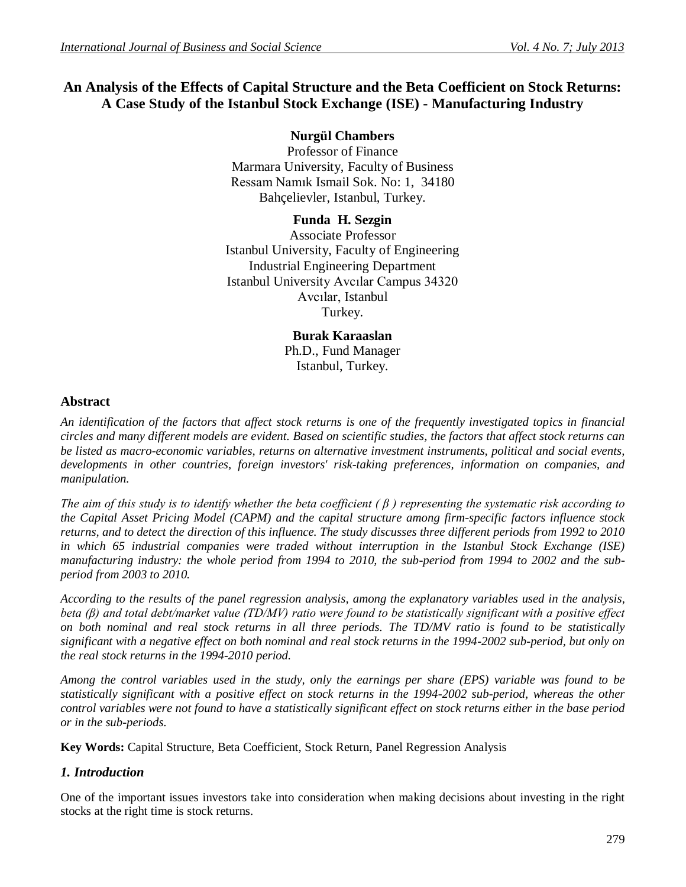# **An Analysis of the Effects of Capital Structure and the Beta Coefficient on Stock Returns: A Case Study of the Istanbul Stock Exchange (ISE) - Manufacturing Industry**

## **Nurgül Chambers**

Professor of Finance Marmara University, Faculty of Business Ressam Namık Ismail Sok. No: 1, 34180 Bahçelievler, Istanbul, Turkey.

#### **Funda H. Sezgin** Associate Professor Istanbul University, Faculty of Engineering Industrial Engineering Department Istanbul University Avcılar Campus 34320 Avcılar, Istanbul Turkey.

**Burak Karaaslan** Ph.D., Fund Manager Istanbul, Turkey.

### **Abstract**

*An identification of the factors that affect stock returns is one of the frequently investigated topics in financial circles and many different models are evident. Based on scientific studies, the factors that affect stock returns can be listed as macro-economic variables, returns on alternative investment instruments, political and social events, developments in other countries, foreign investors' risk-taking preferences, information on companies, and manipulation.*

*The aim of this study is to identify whether the beta coefficient ( β ) representing the systematic risk according to the Capital Asset Pricing Model (CAPM) and the capital structure among firm-specific factors influence stock returns, and to detect the direction of this influence. The study discusses three different periods from 1992 to 2010 in which 65 industrial companies were traded without interruption in the Istanbul Stock Exchange (ISE) manufacturing industry: the whole period from 1994 to 2010, the sub-period from 1994 to 2002 and the subperiod from 2003 to 2010.*

*According to the results of the panel regression analysis, among the explanatory variables used in the analysis, beta (β) and total debt/market value (TD/MV) ratio were found to be statistically significant with a positive effect on both nominal and real stock returns in all three periods. The TD/MV ratio is found to be statistically significant with a negative effect on both nominal and real stock returns in the 1994-2002 sub-period, but only on the real stock returns in the 1994-2010 period.*

*Among the control variables used in the study, only the earnings per share (EPS) variable was found to be statistically significant with a positive effect on stock returns in the 1994-2002 sub-period, whereas the other control variables were not found to have a statistically significant effect on stock returns either in the base period or in the sub-periods.*

**Key Words:** Capital Structure, Beta Coefficient, Stock Return, Panel Regression Analysis

## *1. Introduction*

One of the important issues investors take into consideration when making decisions about investing in the right stocks at the right time is stock returns.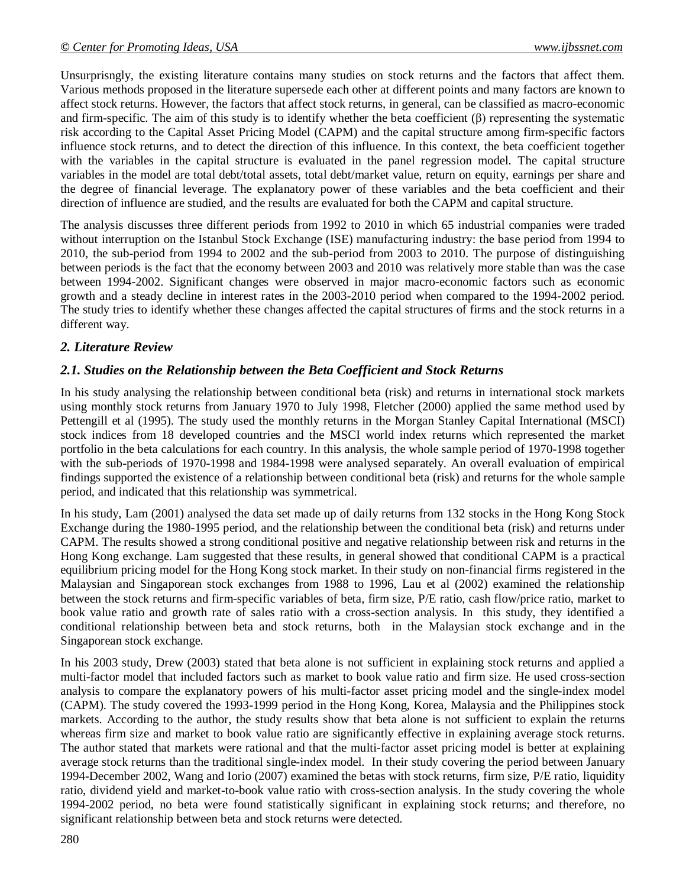Unsurprisngly, the existing literature contains many studies on stock returns and the factors that affect them. Various methods proposed in the literature supersede each other at different points and many factors are known to affect stock returns. However, the factors that affect stock returns, in general, can be classified as macro-economic and firm-specific. The aim of this study is to identify whether the beta coefficient  $(\beta)$  representing the systematic risk according to the Capital Asset Pricing Model (CAPM) and the capital structure among firm-specific factors influence stock returns, and to detect the direction of this influence. In this context, the beta coefficient together with the variables in the capital structure is evaluated in the panel regression model. The capital structure variables in the model are total debt/total assets, total debt/market value, return on equity, earnings per share and the degree of financial leverage. The explanatory power of these variables and the beta coefficient and their direction of influence are studied, and the results are evaluated for both the CAPM and capital structure.

The analysis discusses three different periods from 1992 to 2010 in which 65 industrial companies were traded without interruption on the Istanbul Stock Exchange (ISE) manufacturing industry: the base period from 1994 to 2010, the sub-period from 1994 to 2002 and the sub-period from 2003 to 2010. The purpose of distinguishing between periods is the fact that the economy between 2003 and 2010 was relatively more stable than was the case between 1994-2002. Significant changes were observed in major macro-economic factors such as economic growth and a steady decline in interest rates in the 2003-2010 period when compared to the 1994-2002 period. The study tries to identify whether these changes affected the capital structures of firms and the stock returns in a different way.

## *2. Literature Review*

### *2.1. Studies on the Relationship between the Beta Coefficient and Stock Returns*

In his study analysing the relationship between conditional beta (risk) and returns in international stock markets using monthly stock returns from January 1970 to July 1998, Fletcher (2000) applied the same method used by Pettengill et al (1995). The study used the monthly returns in the Morgan Stanley Capital International (MSCI) stock indices from 18 developed countries and the MSCI world index returns which represented the market portfolio in the beta calculations for each country. In this analysis, the whole sample period of 1970-1998 together with the sub-periods of 1970-1998 and 1984-1998 were analysed separately. An overall evaluation of empirical findings supported the existence of a relationship between conditional beta (risk) and returns for the whole sample period, and indicated that this relationship was symmetrical.

In his study, Lam (2001) analysed the data set made up of daily returns from 132 stocks in the Hong Kong Stock Exchange during the 1980-1995 period, and the relationship between the conditional beta (risk) and returns under CAPM. The results showed a strong conditional positive and negative relationship between risk and returns in the Hong Kong exchange. Lam suggested that these results, in general showed that conditional CAPM is a practical equilibrium pricing model for the Hong Kong stock market. In their study on non-financial firms registered in the Malaysian and Singaporean stock exchanges from 1988 to 1996, Lau et al (2002) examined the relationship between the stock returns and firm-specific variables of beta, firm size, P/E ratio, cash flow/price ratio, market to book value ratio and growth rate of sales ratio with a cross-section analysis. In this study, they identified a conditional relationship between beta and stock returns, both in the Malaysian stock exchange and in the Singaporean stock exchange.

In his 2003 study, Drew (2003) stated that beta alone is not sufficient in explaining stock returns and applied a multi-factor model that included factors such as market to book value ratio and firm size. He used cross-section analysis to compare the explanatory powers of his multi-factor asset pricing model and the single-index model (CAPM). The study covered the 1993-1999 period in the Hong Kong, Korea, Malaysia and the Philippines stock markets. According to the author, the study results show that beta alone is not sufficient to explain the returns whereas firm size and market to book value ratio are significantly effective in explaining average stock returns. The author stated that markets were rational and that the multi-factor asset pricing model is better at explaining average stock returns than the traditional single-index model. In their study covering the period between January 1994-December 2002, Wang and Iorio (2007) examined the betas with stock returns, firm size, P/E ratio, liquidity ratio, dividend yield and market-to-book value ratio with cross-section analysis. In the study covering the whole 1994-2002 period, no beta were found statistically significant in explaining stock returns; and therefore, no significant relationship between beta and stock returns were detected.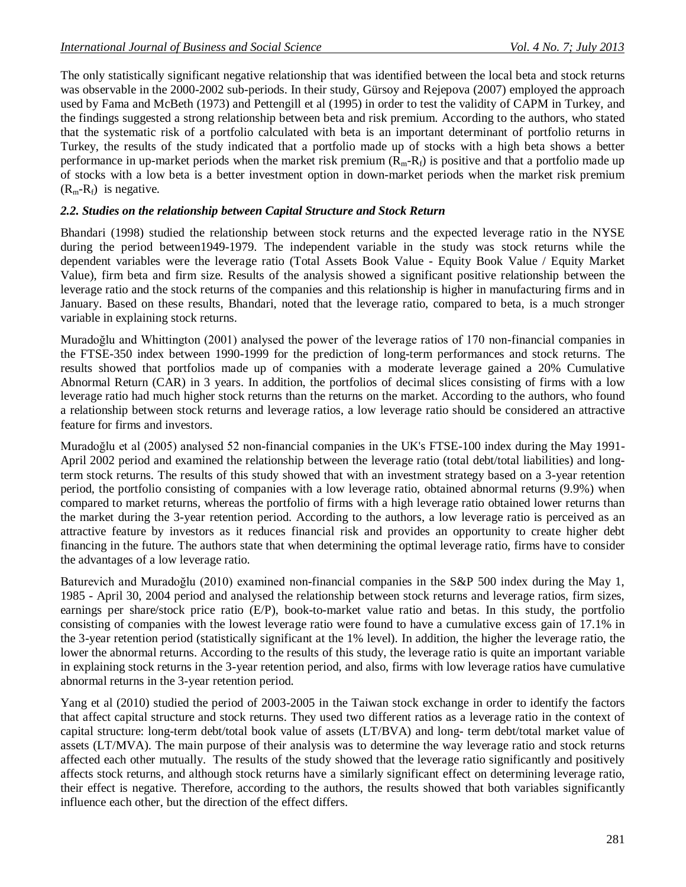The only statistically significant negative relationship that was identified between the local beta and stock returns was observable in the 2000-2002 sub-periods. In their study, Gürsoy and Rejepova (2007) employed the approach used by Fama and McBeth (1973) and Pettengill et al (1995) in order to test the validity of CAPM in Turkey, and the findings suggested a strong relationship between beta and risk premium. According to the authors, who stated that the systematic risk of a portfolio calculated with beta is an important determinant of portfolio returns in Turkey, the results of the study indicated that a portfolio made up of stocks with a high beta shows a better performance in up-market periods when the market risk premium  $(R_m-R_f)$  is positive and that a portfolio made up of stocks with a low beta is a better investment option in down-market periods when the market risk premium  $(R_m-R_f)$  is negative.

#### *2.2. Studies on the relationship between Capital Structure and Stock Return*

Bhandari (1998) studied the relationship between stock returns and the expected leverage ratio in the NYSE during the period between1949-1979. The independent variable in the study was stock returns while the dependent variables were the leverage ratio (Total Assets Book Value - Equity Book Value / Equity Market Value), firm beta and firm size. Results of the analysis showed a significant positive relationship between the leverage ratio and the stock returns of the companies and this relationship is higher in manufacturing firms and in January. Based on these results, Bhandari, noted that the leverage ratio, compared to beta, is a much stronger variable in explaining stock returns.

Muradoğlu and Whittington (2001) analysed the power of the leverage ratios of 170 non-financial companies in the FTSE-350 index between 1990-1999 for the prediction of long-term performances and stock returns. The results showed that portfolios made up of companies with a moderate leverage gained a 20% Cumulative Abnormal Return (CAR) in 3 years. In addition, the portfolios of decimal slices consisting of firms with a low leverage ratio had much higher stock returns than the returns on the market. According to the authors, who found a relationship between stock returns and leverage ratios, a low leverage ratio should be considered an attractive feature for firms and investors.

Muradoğlu et al (2005) analysed 52 non-financial companies in the UK's FTSE-100 index during the May 1991- April 2002 period and examined the relationship between the leverage ratio (total debt/total liabilities) and longterm stock returns. The results of this study showed that with an investment strategy based on a 3-year retention period, the portfolio consisting of companies with a low leverage ratio, obtained abnormal returns (9.9%) when compared to market returns, whereas the portfolio of firms with a high leverage ratio obtained lower returns than the market during the 3-year retention period. According to the authors, a low leverage ratio is perceived as an attractive feature by investors as it reduces financial risk and provides an opportunity to create higher debt financing in the future. The authors state that when determining the optimal leverage ratio, firms have to consider the advantages of a low leverage ratio.

Baturevich and Muradoğlu (2010) examined non-financial companies in the S&P 500 index during the May 1, 1985 - April 30, 2004 period and analysed the relationship between stock returns and leverage ratios, firm sizes, earnings per share/stock price ratio (E/P), book-to-market value ratio and betas. In this study, the portfolio consisting of companies with the lowest leverage ratio were found to have a cumulative excess gain of 17.1% in the 3-year retention period (statistically significant at the 1% level). In addition, the higher the leverage ratio, the lower the abnormal returns. According to the results of this study, the leverage ratio is quite an important variable in explaining stock returns in the 3-year retention period, and also, firms with low leverage ratios have cumulative abnormal returns in the 3-year retention period.

Yang et al (2010) studied the period of 2003-2005 in the Taiwan stock exchange in order to identify the factors that affect capital structure and stock returns. They used two different ratios as a leverage ratio in the context of capital structure: long-term debt/total book value of assets (LT/BVA) and long- term debt/total market value of assets (LT/MVA). The main purpose of their analysis was to determine the way leverage ratio and stock returns affected each other mutually. The results of the study showed that the leverage ratio significantly and positively affects stock returns, and although stock returns have a similarly significant effect on determining leverage ratio, their effect is negative. Therefore, according to the authors, the results showed that both variables significantly influence each other, but the direction of the effect differs.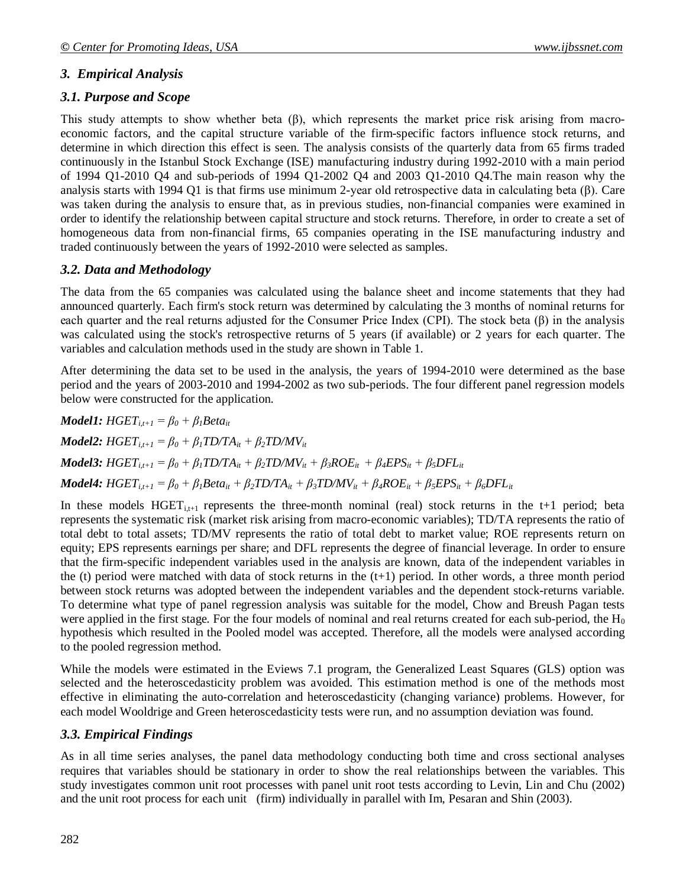## *3. Empirical Analysis*

### *3.1. Purpose and Scope*

This study attempts to show whether beta  $(\beta)$ , which represents the market price risk arising from macroeconomic factors, and the capital structure variable of the firm-specific factors influence stock returns, and determine in which direction this effect is seen. The analysis consists of the quarterly data from 65 firms traded continuously in the Istanbul Stock Exchange (ISE) manufacturing industry during 1992-2010 with a main period of 1994 Q1-2010 Q4 and sub-periods of 1994 Q1-2002 Q4 and 2003 Q1-2010 Q4.The main reason why the analysis starts with 1994 Q1 is that firms use minimum 2-year old retrospective data in calculating beta (β). Care was taken during the analysis to ensure that, as in previous studies, non-financial companies were examined in order to identify the relationship between capital structure and stock returns. Therefore, in order to create a set of homogeneous data from non-financial firms, 65 companies operating in the ISE manufacturing industry and traded continuously between the years of 1992-2010 were selected as samples.

### *3.2. Data and Methodology*

The data from the 65 companies was calculated using the balance sheet and income statements that they had announced quarterly. Each firm's stock return was determined by calculating the 3 months of nominal returns for each quarter and the real returns adjusted for the Consumer Price Index (CPI). The stock beta (β) in the analysis was calculated using the stock's retrospective returns of 5 years (if available) or 2 years for each quarter. The variables and calculation methods used in the study are shown in Table 1.

After determining the data set to be used in the analysis, the years of 1994-2010 were determined as the base period and the years of 2003-2010 and 1994-2002 as two sub-periods. The four different panel regression models below were constructed for the application.

*Model1:*  $HGET_{i,t+1} = \beta_0 + \beta_1 Beta_{it}$ *Model2:*  $HGET_{i,t+1} = \beta_0 + \beta_1 TDTA_{it} + \beta_2 TD/MV_{it}$ **Model3:** HGET<sub>it+1</sub> =  $\beta_0$  +  $\beta_1$ TD/TA<sub>it</sub> +  $\beta_2$ TD/MV<sub>it</sub> +  $\beta_3 ROE_{it}$  +  $\beta_4 EPS_{it}$  +  $\beta_5 DFL_{it}$ **Model4:**  $HGET_{i,t+1} = \beta_0 + \beta_1 Beta_{it} + \beta_2 TDTA_{it} + \beta_3 TD/MV_{it} + \beta_4 ROE_{it} + \beta_5 EPS_{it} + \beta_6 DFL_{it}$ 

In these models  $HGET_{i,t+1}$  represents the three-month nominal (real) stock returns in the t+1 period; beta represents the systematic risk (market risk arising from macro-economic variables); TD/TA represents the ratio of total debt to total assets; TD/MV represents the ratio of total debt to market value; ROE represents return on equity; EPS represents earnings per share; and DFL represents the degree of financial leverage. In order to ensure that the firm-specific independent variables used in the analysis are known, data of the independent variables in the (t) period were matched with data of stock returns in the  $(t+1)$  period. In other words, a three month period between stock returns was adopted between the independent variables and the dependent stock-returns variable. To determine what type of panel regression analysis was suitable for the model, Chow and Breush Pagan tests were applied in the first stage. For the four models of nominal and real returns created for each sub-period, the  $H_0$ hypothesis which resulted in the Pooled model was accepted. Therefore, all the models were analysed according to the pooled regression method.

While the models were estimated in the Eviews 7.1 program, the Generalized Least Squares (GLS) option was selected and the heteroscedasticity problem was avoided. This estimation method is one of the methods most effective in eliminating the auto-correlation and heteroscedasticity (changing variance) problems. However, for each model Wooldrige and Green heteroscedasticity tests were run, and no assumption deviation was found.

## *3.3. Empirical Findings*

As in all time series analyses, the panel data methodology conducting both time and cross sectional analyses requires that variables should be stationary in order to show the real relationships between the variables. This study investigates common unit root processes with panel unit root tests according to Levin, Lin and Chu (2002) and the unit root process for each unit (firm) individually in parallel with Im, Pesaran and Shin (2003).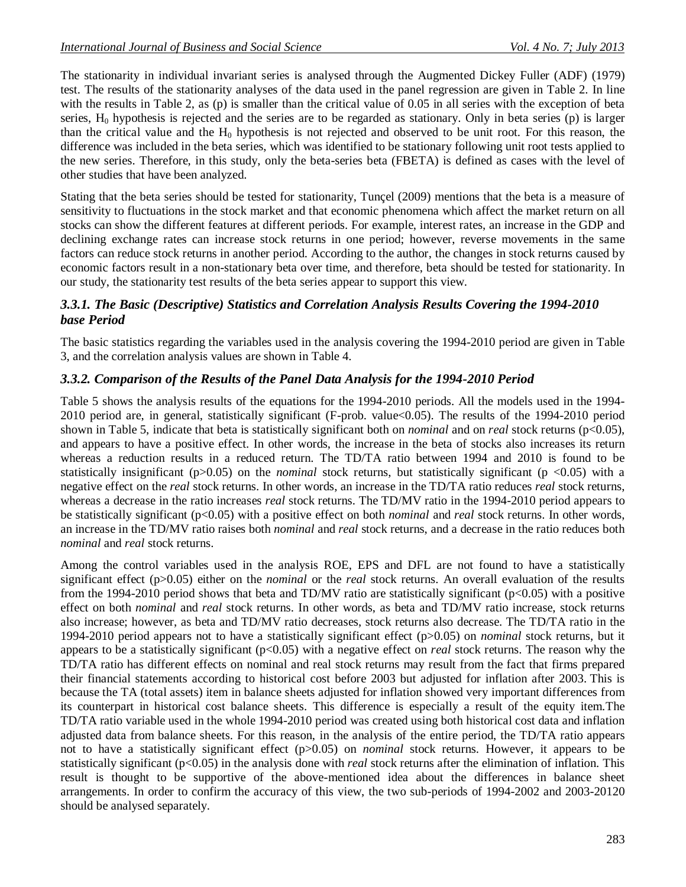The stationarity in individual invariant series is analysed through the Augmented Dickey Fuller (ADF) (1979) test. The results of the stationarity analyses of the data used in the panel regression are given in Table 2. In line with the results in Table 2, as (p) is smaller than the critical value of 0.05 in all series with the exception of beta series,  $H_0$  hypothesis is rejected and the series are to be regarded as stationary. Only in beta series (p) is larger than the critical value and the  $H_0$  hypothesis is not rejected and observed to be unit root. For this reason, the difference was included in the beta series, which was identified to be stationary following unit root tests applied to the new series. Therefore, in this study, only the beta-series beta (FBETA) is defined as cases with the level of other studies that have been analyzed.

Stating that the beta series should be tested for stationarity, Tunçel (2009) mentions that the beta is a measure of sensitivity to fluctuations in the stock market and that economic phenomena which affect the market return on all stocks can show the different features at different periods. For example, interest rates, an increase in the GDP and declining exchange rates can increase stock returns in one period; however, reverse movements in the same factors can reduce stock returns in another period. According to the author, the changes in stock returns caused by economic factors result in a non-stationary beta over time, and therefore, beta should be tested for stationarity. In our study, the stationarity test results of the beta series appear to support this view.

#### *3.3.1. The Basic (Descriptive) Statistics and Correlation Analysis Results Covering the 1994-2010 base Period*

The basic statistics regarding the variables used in the analysis covering the 1994-2010 period are given in Table 3, and the correlation analysis values are shown in Table 4.

### *3.3.2. Comparison of the Results of the Panel Data Analysis for the 1994-2010 Period*

Table 5 shows the analysis results of the equations for the 1994-2010 periods. All the models used in the 1994- 2010 period are, in general, statistically significant (F-prob. value<0.05). The results of the 1994-2010 period shown in Table 5, indicate that beta is statistically significant both on *nominal* and on *real* stock returns (p<0.05), and appears to have a positive effect. In other words, the increase in the beta of stocks also increases its return whereas a reduction results in a reduced return. The TD/TA ratio between 1994 and 2010 is found to be statistically insignificant (p>0.05) on the *nominal* stock returns, but statistically significant (p <0.05) with a negative effect on the *real* stock returns. In other words, an increase in the TD/TA ratio reduces *real* stock returns, whereas a decrease in the ratio increases *real* stock returns. The TD/MV ratio in the 1994-2010 period appears to be statistically significant (p<0.05) with a positive effect on both *nominal* and *real* stock returns. In other words, an increase in the TD/MV ratio raises both *nominal* and *real* stock returns, and a decrease in the ratio reduces both *nominal* and *real* stock returns.

Among the control variables used in the analysis ROE, EPS and DFL are not found to have a statistically significant effect (p>0.05) either on the *nominal* or the *real* stock returns. An overall evaluation of the results from the 1994-2010 period shows that beta and TD/MV ratio are statistically significant (p<0.05) with a positive effect on both *nominal* and *real* stock returns. In other words, as beta and TD/MV ratio increase, stock returns also increase; however, as beta and TD/MV ratio decreases, stock returns also decrease. The TD/TA ratio in the 1994-2010 period appears not to have a statistically significant effect (p>0.05) on *nominal* stock returns, but it appears to be a statistically significant (p<0.05) with a negative effect on *real* stock returns. The reason why the TD/TA ratio has different effects on nominal and real stock returns may result from the fact that firms prepared their financial statements according to historical cost before 2003 but adjusted for inflation after 2003. This is because the TA (total assets) item in balance sheets adjusted for inflation showed very important differences from its counterpart in historical cost balance sheets. This difference is especially a result of the equity item.The TD/TA ratio variable used in the whole 1994-2010 period was created using both historical cost data and inflation adjusted data from balance sheets. For this reason, in the analysis of the entire period, the TD/TA ratio appears not to have a statistically significant effect (p>0.05) on *nominal* stock returns. However, it appears to be statistically significant (p<0.05) in the analysis done with *real* stock returns after the elimination of inflation. This result is thought to be supportive of the above-mentioned idea about the differences in balance sheet arrangements. In order to confirm the accuracy of this view, the two sub-periods of 1994-2002 and 2003-20120 should be analysed separately.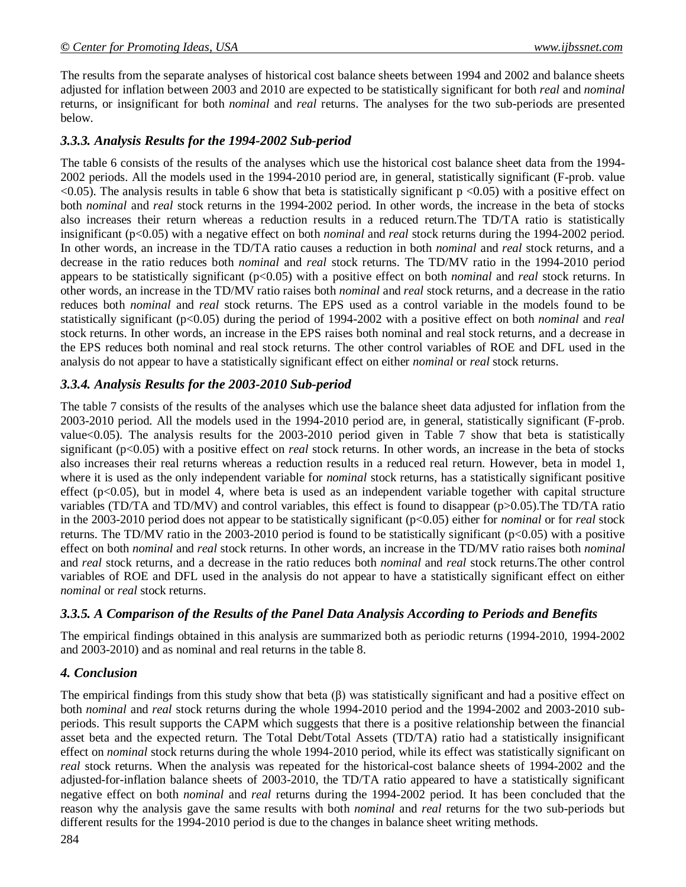The results from the separate analyses of historical cost balance sheets between 1994 and 2002 and balance sheets adjusted for inflation between 2003 and 2010 are expected to be statistically significant for both *real* and *nominal* returns, or insignificant for both *nominal* and *real* returns. The analyses for the two sub-periods are presented below.

## *3.3.3. Analysis Results for the 1994-2002 Sub-period*

The table 6 consists of the results of the analyses which use the historical cost balance sheet data from the 1994- 2002 periods. All the models used in the 1994-2010 period are, in general, statistically significant (F-prob. value  $\langle 0.05 \rangle$ . The analysis results in table 6 show that beta is statistically significant p  $\langle 0.05 \rangle$  with a positive effect on both *nominal* and *real* stock returns in the 1994-2002 period. In other words, the increase in the beta of stocks also increases their return whereas a reduction results in a reduced return.The TD/TA ratio is statistically insignificant (p<0.05) with a negative effect on both *nominal* and *real* stock returns during the 1994-2002 period. In other words, an increase in the TD/TA ratio causes a reduction in both *nominal* and *real* stock returns, and a decrease in the ratio reduces both *nominal* and *real* stock returns. The TD/MV ratio in the 1994-2010 period appears to be statistically significant (p<0.05) with a positive effect on both *nominal* and *real* stock returns. In other words, an increase in the TD/MV ratio raises both *nominal* and *real* stock returns, and a decrease in the ratio reduces both *nominal* and *real* stock returns. The EPS used as a control variable in the models found to be statistically significant (p<0.05) during the period of 1994-2002 with a positive effect on both *nominal* and *real* stock returns. In other words, an increase in the EPS raises both nominal and real stock returns, and a decrease in the EPS reduces both nominal and real stock returns. The other control variables of ROE and DFL used in the analysis do not appear to have a statistically significant effect on either *nominal* or *real* stock returns.

## *3.3.4. Analysis Results for the 2003-2010 Sub-period*

The table 7 consists of the results of the analyses which use the balance sheet data adjusted for inflation from the 2003-2010 period. All the models used in the 1994-2010 period are, in general, statistically significant (F-prob. value<0.05). The analysis results for the 2003-2010 period given in Table 7 show that beta is statistically significant (p<0.05) with a positive effect on *real* stock returns. In other words, an increase in the beta of stocks also increases their real returns whereas a reduction results in a reduced real return. However, beta in model 1, where it is used as the only independent variable for *nominal* stock returns, has a statistically significant positive effect (p<0.05), but in model 4, where beta is used as an independent variable together with capital structure variables (TD/TA and TD/MV) and control variables, this effect is found to disappear (p>0.05).The TD/TA ratio in the 2003-2010 period does not appear to be statistically significant (p<0.05) either for *nominal* or for *real* stock returns. The TD/MV ratio in the 2003-2010 period is found to be statistically significant (p<0.05) with a positive effect on both *nominal* and *real* stock returns. In other words, an increase in the TD/MV ratio raises both *nominal* and *real* stock returns, and a decrease in the ratio reduces both *nominal* and *real* stock returns.The other control variables of ROE and DFL used in the analysis do not appear to have a statistically significant effect on either *nominal* or *real* stock returns.

## *3.3.5. A Comparison of the Results of the Panel Data Analysis According to Periods and Benefits*

The empirical findings obtained in this analysis are summarized both as periodic returns (1994-2010, 1994-2002 and 2003-2010) and as nominal and real returns in the table 8.

## *4. Conclusion*

The empirical findings from this study show that beta  $(\beta)$  was statistically significant and had a positive effect on both *nominal* and *real* stock returns during the whole 1994-2010 period and the 1994-2002 and 2003-2010 subperiods. This result supports the CAPM which suggests that there is a positive relationship between the financial asset beta and the expected return. The Total Debt/Total Assets (TD/TA) ratio had a statistically insignificant effect on *nominal* stock returns during the whole 1994-2010 period, while its effect was statistically significant on *real* stock returns. When the analysis was repeated for the historical-cost balance sheets of 1994-2002 and the adjusted-for-inflation balance sheets of 2003-2010, the TD/TA ratio appeared to have a statistically significant negative effect on both *nominal* and *real* returns during the 1994-2002 period. It has been concluded that the reason why the analysis gave the same results with both *nominal* and *real* returns for the two sub-periods but different results for the 1994-2010 period is due to the changes in balance sheet writing methods.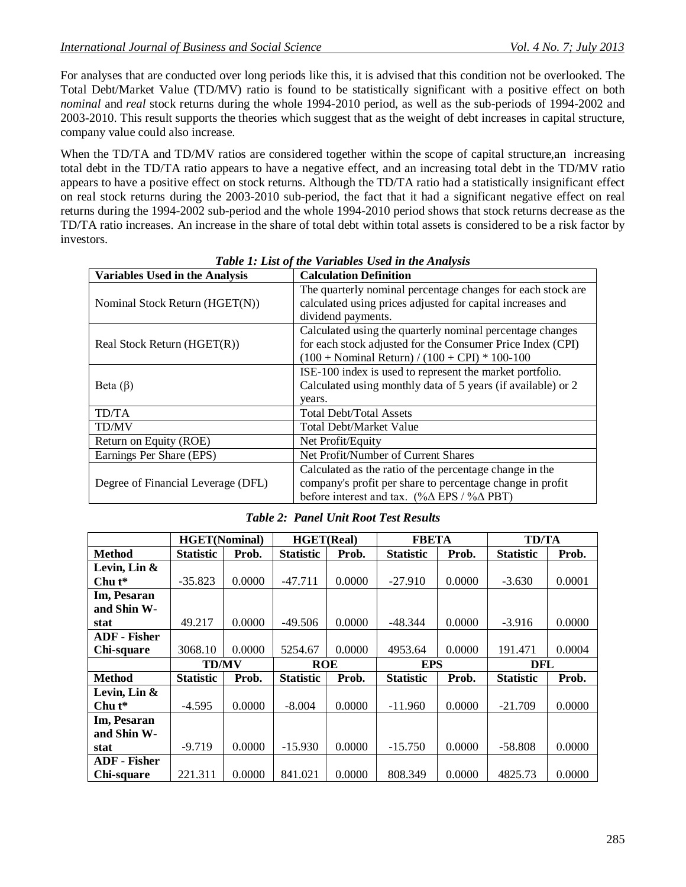For analyses that are conducted over long periods like this, it is advised that this condition not be overlooked. The Total Debt/Market Value (TD/MV) ratio is found to be statistically significant with a positive effect on both *nominal* and *real* stock returns during the whole 1994-2010 period, as well as the sub-periods of 1994-2002 and 2003-2010. This result supports the theories which suggest that as the weight of debt increases in capital structure, company value could also increase.

When the TD/TA and TD/MV ratios are considered together within the scope of capital structure, an increasing total debt in the TD/TA ratio appears to have a negative effect, and an increasing total debt in the TD/MV ratio appears to have a positive effect on stock returns. Although the TD/TA ratio had a statistically insignificant effect on real stock returns during the 2003-2010 sub-period, the fact that it had a significant negative effect on real returns during the 1994-2002 sub-period and the whole 1994-2010 period shows that stock returns decrease as the TD/TA ratio increases. An increase in the share of total debt within total assets is considered to be a risk factor by investors.

| <b>Variables Used in the Analysis</b> | <b>Calculation Definition</b>                                              |  |  |  |
|---------------------------------------|----------------------------------------------------------------------------|--|--|--|
|                                       | The quarterly nominal percentage changes for each stock are                |  |  |  |
| Nominal Stock Return (HGET(N))        | calculated using prices adjusted for capital increases and                 |  |  |  |
|                                       | dividend payments.                                                         |  |  |  |
|                                       | Calculated using the quarterly nominal percentage changes                  |  |  |  |
| Real Stock Return (HGET(R))           | for each stock adjusted for the Consumer Price Index (CPI)                 |  |  |  |
|                                       | $(100 + Nominal Return) / (100 + CPI) * 100-100$                           |  |  |  |
|                                       | ISE-100 index is used to represent the market portfolio.                   |  |  |  |
| Beta $(\beta)$                        | Calculated using monthly data of 5 years (if available) or 2               |  |  |  |
|                                       | years.                                                                     |  |  |  |
| TD/TA                                 | <b>Total Debt/Total Assets</b>                                             |  |  |  |
| <b>TD/MV</b>                          | <b>Total Debt/Market Value</b>                                             |  |  |  |
| Return on Equity (ROE)                | Net Profit/Equity                                                          |  |  |  |
| Earnings Per Share (EPS)              | Net Profit/Number of Current Shares                                        |  |  |  |
|                                       | Calculated as the ratio of the percentage change in the                    |  |  |  |
| Degree of Financial Leverage (DFL)    | company's profit per share to percentage change in profit                  |  |  |  |
|                                       | before interest and tax. $(\% \Delta \text{ EPS} / \% \Delta \text{ PBT})$ |  |  |  |

| Table 1: List of the Variables Used in the Analysis |
|-----------------------------------------------------|
|-----------------------------------------------------|

|                     | <b>HGET(Nominal)</b> |        | <b>HGET(Real)</b> |        | <b>FBETA</b>     |        | <b>TD/TA</b>     |        |
|---------------------|----------------------|--------|-------------------|--------|------------------|--------|------------------|--------|
| <b>Method</b>       | <b>Statistic</b>     | Prob.  | <b>Statistic</b>  | Prob.  | <b>Statistic</b> | Prob.  | <b>Statistic</b> | Prob.  |
| Levin, Lin &        |                      |        |                   |        |                  |        |                  |        |
| Chu $t^*$           | $-35.823$            | 0.0000 | $-47.711$         | 0.0000 | $-27.910$        | 0.0000 | $-3.630$         | 0.0001 |
| Im, Pesaran         |                      |        |                   |        |                  |        |                  |        |
| and Shin W-         |                      |        |                   |        |                  |        |                  |        |
| stat                | 49.217               | 0.0000 | $-49.506$         | 0.0000 | $-48.344$        | 0.0000 | $-3.916$         | 0.0000 |
| <b>ADF</b> - Fisher |                      |        |                   |        |                  |        |                  |        |
| Chi-square          | 3068.10              | 0.0000 | 5254.67           | 0.0000 | 4953.64          | 0.0000 | 191.471          | 0.0004 |
|                     | <b>TD/MV</b>         |        | <b>ROE</b>        |        | <b>EPS</b>       |        | DFL              |        |
| <b>Method</b>       | <b>Statistic</b>     | Prob.  | <b>Statistic</b>  | Prob.  | <b>Statistic</b> | Prob.  | <b>Statistic</b> | Prob.  |
| Levin, Lin &        |                      |        |                   |        |                  |        |                  |        |
| $Chu t^*$           | $-4.595$             | 0.0000 | $-8.004$          | 0.0000 | $-11.960$        | 0.0000 | $-21.709$        | 0.0000 |
| Im, Pesaran         |                      |        |                   |        |                  |        |                  |        |
| and Shin W-         |                      |        |                   |        |                  |        |                  |        |
| stat                | $-9.719$             | 0.0000 | $-15.930$         | 0.0000 | $-15.750$        | 0.0000 | $-58.808$        | 0.0000 |
| <b>ADF</b> - Fisher |                      |        |                   |        |                  |        |                  |        |
| Chi-square          | 221.311              | 0.0000 | 841.021           | 0.0000 | 808.349          | 0.0000 | 4825.73          | 0.0000 |

*Table 2: Panel Unit Root Test Results*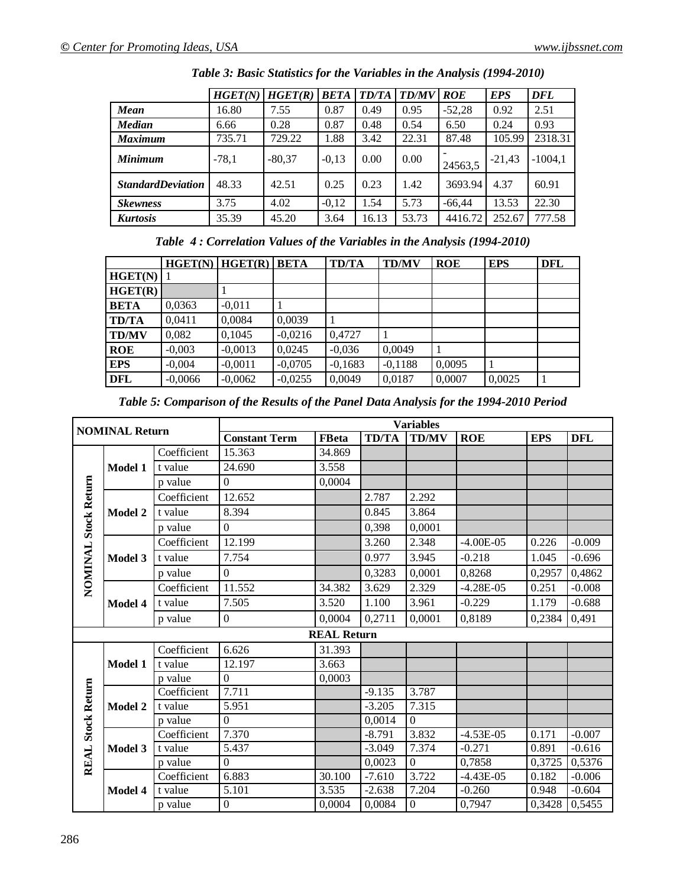|                          | HGET(N) | HGET(R)  | <b>BETA</b> | <b>TD/TA</b> | <b>TD/MV</b> | <b>ROE</b> | <b>EPS</b> | DFL       |
|--------------------------|---------|----------|-------------|--------------|--------------|------------|------------|-----------|
| <b>Mean</b>              | 16.80   | 7.55     | 0.87        | 0.49         | 0.95         | $-52,28$   | 0.92       | 2.51      |
| <b>Median</b>            | 6.66    | 0.28     | 0.87        | 0.48         | 0.54         | 6.50       | 0.24       | 0.93      |
| <b>Maximum</b>           | 735.71  | 729.22   | 1.88        | 3.42         | 22.31        | 87.48      | 105.99     | 2318.31   |
| <b>Minimum</b>           | $-78,1$ | $-80,37$ | $-0,13$     | 0.00         | 0.00         | 24563,5    | $-21,43$   | $-1004,1$ |
| <b>StandardDeviation</b> | 48.33   | 42.51    | 0.25        | 0.23         | 1.42         | 3693.94    | 4.37       | 60.91     |
| <b>Skewness</b>          | 3.75    | 4.02     | $-0.12$     | 1.54         | 5.73         | $-66.44$   | 13.53      | 22.30     |
| Kurtosis                 | 35.39   | 45.20    | 3.64        | 16.13        | 53.73        | 4416.72    | 252.67     | 777.58    |

*Table 3: Basic Statistics for the Variables in the Analysis (1994-2010)*

|  |  | Table 4: Correlation Values of the Variables in the Analysis (1994-2010) |  |  |  |  |  |
|--|--|--------------------------------------------------------------------------|--|--|--|--|--|
|--|--|--------------------------------------------------------------------------|--|--|--|--|--|

|              |           | $HGET(N)$ $HGET(R)$ BETA |           | <b>TD/TA</b> | <b>TD/MV</b> | <b>ROE</b> | <b>EPS</b> | <b>DFL</b> |
|--------------|-----------|--------------------------|-----------|--------------|--------------|------------|------------|------------|
| HGET(N)      |           |                          |           |              |              |            |            |            |
| HGET(R)      |           |                          |           |              |              |            |            |            |
| <b>BETA</b>  | 0,0363    | $-0,011$                 |           |              |              |            |            |            |
| <b>TD/TA</b> | 0,0411    | 0,0084                   | 0,0039    |              |              |            |            |            |
| <b>TD/MV</b> | 0,082     | 0,1045                   | $-0,0216$ | 0,4727       |              |            |            |            |
| <b>ROE</b>   | $-0,003$  | $-0,0013$                | 0,0245    | $-0,036$     | 0,0049       |            |            |            |
| <b>EPS</b>   | $-0,004$  | $-0,0011$                | $-0,0705$ | $-0,1683$    | $-0,1188$    | 0,0095     |            |            |
| <b>DFL</b>   | $-0,0066$ | $-0,0062$                | $-0,0255$ | 0,0049       | 0,0187       | 0,0007     | 0,0025     |            |

*Table 5: Comparison of the Results of the Panel Data Analysis for the 1994-2010 Period*

|                     | <b>NOMINAL Return</b>                         |             | <b>Variables</b>     |                    |              |              |             |            |            |  |  |
|---------------------|-----------------------------------------------|-------------|----------------------|--------------------|--------------|--------------|-------------|------------|------------|--|--|
|                     |                                               |             | <b>Constant Term</b> | <b>FBeta</b>       | <b>TD/TA</b> | <b>TD/MV</b> | <b>ROE</b>  | <b>EPS</b> | <b>DFL</b> |  |  |
|                     |                                               | Coefficient | 15.363               | 34.869             |              |              |             |            |            |  |  |
|                     | Model 1                                       | t value     | 24.690               | 3.558              |              |              |             |            |            |  |  |
|                     |                                               | p value     | $\Omega$             | 0,0004             |              |              |             |            |            |  |  |
|                     |                                               | Coefficient | 12.652               |                    | 2.787        | 2.292        |             |            |            |  |  |
|                     | <b>Model 2</b>                                | t value     | 8.394                |                    | 0.845        | 3.864        |             |            |            |  |  |
|                     |                                               | p value     | $\mathbf{0}$         |                    | 0,398        | 0,0001       |             |            |            |  |  |
|                     |                                               | Coefficient | 12.199               |                    | 3.260        | 2.348        | $-4.00E-05$ | 0.226      | $-0.009$   |  |  |
|                     | <b>NOMINAL Stock Return</b><br><b>Model 3</b> | t value     | 7.754                |                    | 0.977        | 3.945        | $-0.218$    | 1.045      | $-0.696$   |  |  |
|                     |                                               | p value     | $\theta$             |                    | 0,3283       | 0,0001       | 0,8268      | 0,2957     | 0,4862     |  |  |
|                     |                                               | Coefficient | 11.552               | 34.382             | 3.629        | 2.329        | $-4.28E-05$ | 0.251      | $-0.008$   |  |  |
|                     | <b>Model 4</b>                                | t value     | 7.505                | 3.520              | 1.100        | 3.961        | $-0.229$    | 1.179      | $-0.688$   |  |  |
|                     |                                               | p value     | $\mathbf{0}$         | 0.0004             | 0.2711       | 0,0001       | 0,8189      | 0,2384     | 0,491      |  |  |
|                     |                                               |             |                      | <b>REAL Return</b> |              |              |             |            |            |  |  |
|                     |                                               | Coefficient | 6.626                | 31.393             |              |              |             |            |            |  |  |
|                     | Model 1                                       | t value     | 12.197               | 3.663              |              |              |             |            |            |  |  |
|                     |                                               | p value     | $\theta$             | 0.0003             |              |              |             |            |            |  |  |
| <b>Stock Return</b> |                                               | Coefficient | 7.711                |                    | $-9.135$     | 3.787        |             |            |            |  |  |
|                     | <b>Model 2</b>                                | t value     | 5.951                |                    | $-3.205$     | 7.315        |             |            |            |  |  |
|                     |                                               | p value     | $\theta$             |                    | 0.0014       | $\theta$     |             |            |            |  |  |
|                     |                                               | Coefficient | 7.370                |                    | $-8.791$     | 3.832        | $-4.53E-05$ | 0.171      | $-0.007$   |  |  |
| <b>REAL</b>         | Model 3                                       | t value     | 5.437                |                    | $-3.049$     | 7.374        | $-0.271$    | 0.891      | $-0.616$   |  |  |
|                     |                                               | p value     | $\Omega$             |                    | 0,0023       | $\theta$     | 0,7858      | 0,3725     | 0,5376     |  |  |
|                     |                                               | Coefficient | 6.883                | 30.100             | $-7.610$     | 3.722        | $-4.43E-05$ | 0.182      | $-0.006$   |  |  |
|                     | <b>Model 4</b>                                | t value     | 5.101                | 3.535              | $-2.638$     | 7.204        | $-0.260$    | 0.948      | $-0.604$   |  |  |
|                     |                                               | p value     | $\boldsymbol{0}$     | 0,0004             | 0,0084       | $\Omega$     | 0,7947      | 0,3428     | 0,5455     |  |  |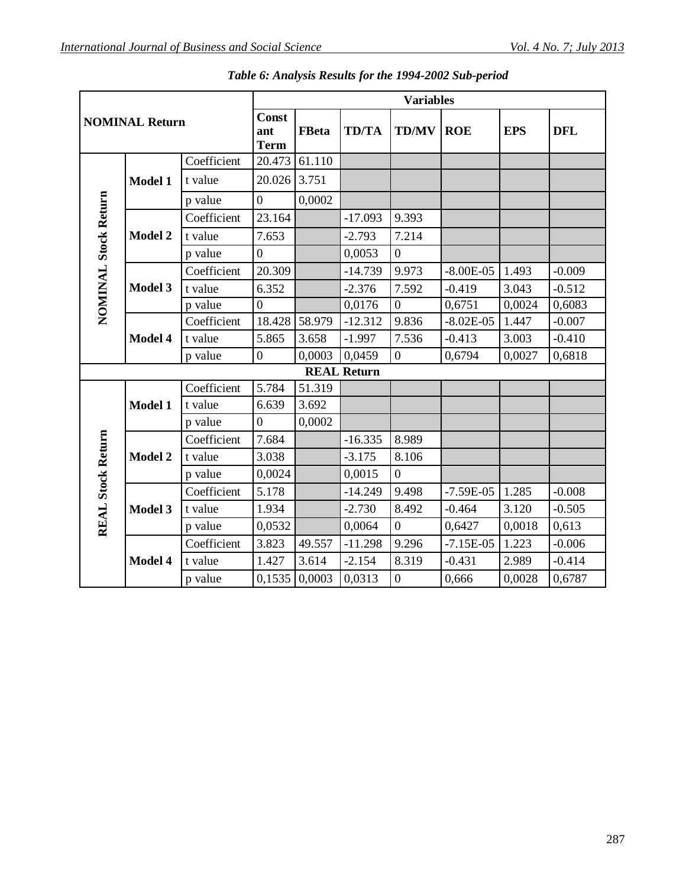|                          |                       |             |                  | <b>Variables</b> |                    |                  |               |            |            |  |  |
|--------------------------|-----------------------|-------------|------------------|------------------|--------------------|------------------|---------------|------------|------------|--|--|
|                          | <b>NOMINAL Return</b> |             |                  | <b>FBeta</b>     | <b>TD/TA</b>       | <b>TD/MV</b>     | <b>ROE</b>    | <b>EPS</b> | <b>DFL</b> |  |  |
|                          |                       | Coefficient | 20.473           | 61.110           |                    |                  |               |            |            |  |  |
|                          | <b>Model 1</b>        | t value     | 20.026           | 3.751            |                    |                  |               |            |            |  |  |
|                          |                       | p value     | $\theta$         | 0,0002           |                    |                  |               |            |            |  |  |
|                          |                       | Coefficient | 23.164           |                  | $-17.093$          | 9.393            |               |            |            |  |  |
| NOMINAL Stock Return     | <b>Model 2</b>        | t value     | 7.653            |                  | $-2.793$           | 7.214            |               |            |            |  |  |
|                          |                       | p value     | $\theta$         |                  | 0,0053             | $\overline{0}$   |               |            |            |  |  |
|                          |                       | Coefficient | 20.309           |                  | $-14.739$          | 9.973            | $-8.00E-05$   | 1.493      | $-0.009$   |  |  |
|                          | <b>Model 3</b>        | t value     | 6.352            |                  | $-2.376$           | 7.592            | $-0.419$      | 3.043      | $-0.512$   |  |  |
|                          |                       | p value     | $\overline{0}$   |                  | 0,0176             | $\overline{0}$   | 0,6751        | 0,0024     | 0,6083     |  |  |
|                          |                       | Coefficient | 18.428           | 58.979           | $-12.312$          | 9.836            | $-8.02E - 05$ | 1.447      | $-0.007$   |  |  |
|                          | Model 4               | t value     | 5.865            | 3.658            | $-1.997$           | 7.536            | $-0.413$      | 3.003      | $-0.410$   |  |  |
|                          |                       | p value     | $\boldsymbol{0}$ | 0,0003           | 0,0459             | $\overline{0}$   | 0,6794        | 0,0027     | 0,6818     |  |  |
|                          |                       |             |                  |                  | <b>REAL Return</b> |                  |               |            |            |  |  |
|                          |                       | Coefficient | 5.784            | 51.319           |                    |                  |               |            |            |  |  |
|                          | Model 1               | t value     | 6.639            | 3.692            |                    |                  |               |            |            |  |  |
|                          |                       | p value     | $\overline{0}$   | 0,0002           |                    |                  |               |            |            |  |  |
|                          |                       | Coefficient | 7.684            |                  | $-16.335$          | 8.989            |               |            |            |  |  |
|                          | <b>Model 2</b>        | t value     | 3.038            |                  | $-3.175$           | 8.106            |               |            |            |  |  |
|                          |                       | p value     | 0,0024           |                  | 0,0015             | $\overline{0}$   |               |            |            |  |  |
| <b>REAL Stock Return</b> |                       | Coefficient | 5.178            |                  | $-14.249$          | 9.498            | $-7.59E-05$   | 1.285      | $-0.008$   |  |  |
|                          | Model 3               | t value     | 1.934            |                  | $-2.730$           | 8.492            | $-0.464$      | 3.120      | $-0.505$   |  |  |
|                          |                       | p value     | 0,0532           |                  | 0,0064             | $\overline{0}$   | 0,6427        | 0,0018     | 0,613      |  |  |
|                          |                       | Coefficient | 3.823            | 49.557           | $-11.298$          | 9.296            | $-7.15E-05$   | 1.223      | $-0.006$   |  |  |
|                          | Model 4               | t value     | 1.427            | 3.614            | $-2.154$           | 8.319            | $-0.431$      | 2.989      | $-0.414$   |  |  |
|                          |                       | p value     | 0,1535           | 0,0003           | 0,0313             | $\boldsymbol{0}$ | 0,666         | 0,0028     | 0,6787     |  |  |

*Table 6: Analysis Results for the 1994-2002 Sub-period*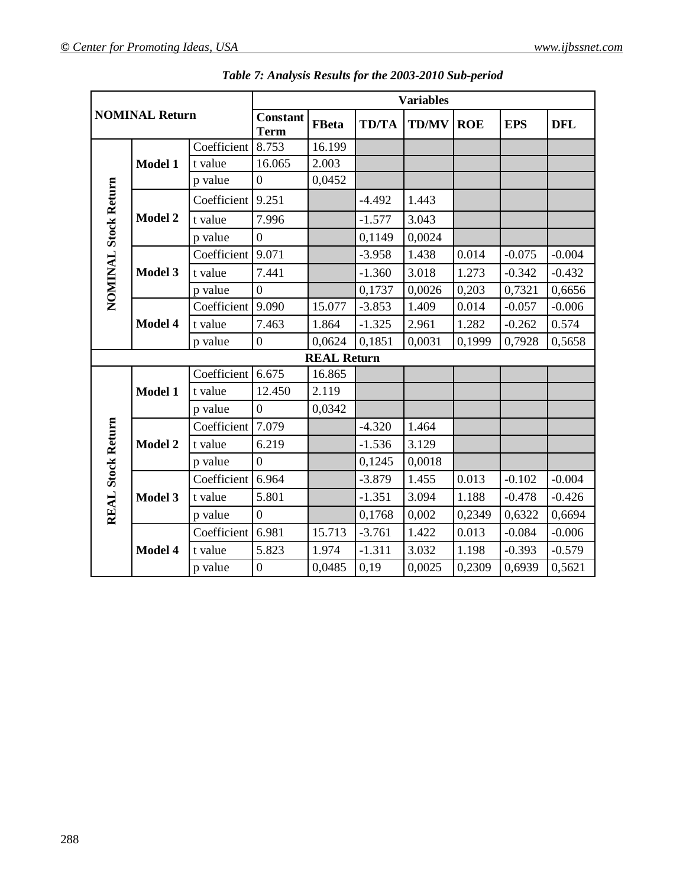|                          |                       |             |                                |                    |              | <b>Variables</b> |            |            |            |
|--------------------------|-----------------------|-------------|--------------------------------|--------------------|--------------|------------------|------------|------------|------------|
|                          | <b>NOMINAL Return</b> |             | <b>Constant</b><br><b>Term</b> | <b>FBeta</b>       | <b>TD/TA</b> | <b>TD/MV</b>     | <b>ROE</b> | <b>EPS</b> | <b>DFL</b> |
|                          |                       | Coefficient | 8.753                          | 16.199             |              |                  |            |            |            |
|                          | Model 1               | t value     | 16.065                         | 2.003              |              |                  |            |            |            |
|                          |                       | p value     | $\boldsymbol{0}$               | 0,0452             |              |                  |            |            |            |
|                          |                       | Coefficient | 9.251                          |                    | $-4.492$     | 1.443            |            |            |            |
|                          | Model 2               | t value     | 7.996                          |                    | $-1.577$     | 3.043            |            |            |            |
|                          |                       | p value     | $\overline{0}$                 |                    | 0,1149       | 0,0024           |            |            |            |
| NOMINAL Stock Return     |                       | Coefficient | 9.071                          |                    | $-3.958$     | 1.438            | 0.014      | $-0.075$   | $-0.004$   |
|                          | <b>Model 3</b>        | t value     | 7.441                          |                    | $-1.360$     | 3.018            | 1.273      | $-0.342$   | $-0.432$   |
|                          |                       | p value     | $\Omega$                       |                    | 0,1737       | 0,0026           | 0,203      | 0,7321     | 0,6656     |
|                          | Model 4               | Coefficient | 9.090                          | 15.077             | $-3.853$     | 1.409            | 0.014      | $-0.057$   | $-0.006$   |
|                          |                       | t value     | 7.463                          | 1.864              | $-1.325$     | 2.961            | 1.282      | $-0.262$   | 0.574      |
|                          |                       | p value     | $\overline{0}$                 | 0,0624             | 0,1851       | 0,0031           | 0,1999     | 0,7928     | 0,5658     |
|                          |                       |             |                                | <b>REAL Return</b> |              |                  |            |            |            |
|                          |                       | Coefficient | 6.675                          | 16.865             |              |                  |            |            |            |
|                          | <b>Model 1</b>        | t value     | 12.450                         | 2.119              |              |                  |            |            |            |
|                          |                       | p value     | $\overline{0}$                 | 0,0342             |              |                  |            |            |            |
|                          |                       | Coefficient | 7.079                          |                    | $-4.320$     | 1.464            |            |            |            |
|                          | <b>Model 2</b>        | t value     | 6.219                          |                    | $-1.536$     | 3.129            |            |            |            |
|                          |                       | p value     | $\overline{0}$                 |                    | 0,1245       | 0,0018           |            |            |            |
|                          |                       | Coefficient | 6.964                          |                    | $-3.879$     | 1.455            | 0.013      | $-0.102$   | $-0.004$   |
| <b>REAL Stock Return</b> | Model 3               | t value     | 5.801                          |                    | $-1.351$     | 3.094            | 1.188      | $-0.478$   | $-0.426$   |
|                          |                       | p value     | $\theta$                       |                    | 0,1768       | 0,002            | 0,2349     | 0,6322     | 0,6694     |
|                          |                       | Coefficient | 6.981                          | 15.713             | $-3.761$     | 1.422            | 0.013      | $-0.084$   | $-0.006$   |
|                          | Model 4               | t value     | 5.823                          | 1.974              | $-1.311$     | 3.032            | 1.198      | $-0.393$   | $-0.579$   |
|                          |                       | p value     | $\theta$                       | 0,0485             | 0,19         | 0,0025           | 0,2309     | 0,6939     | 0,5621     |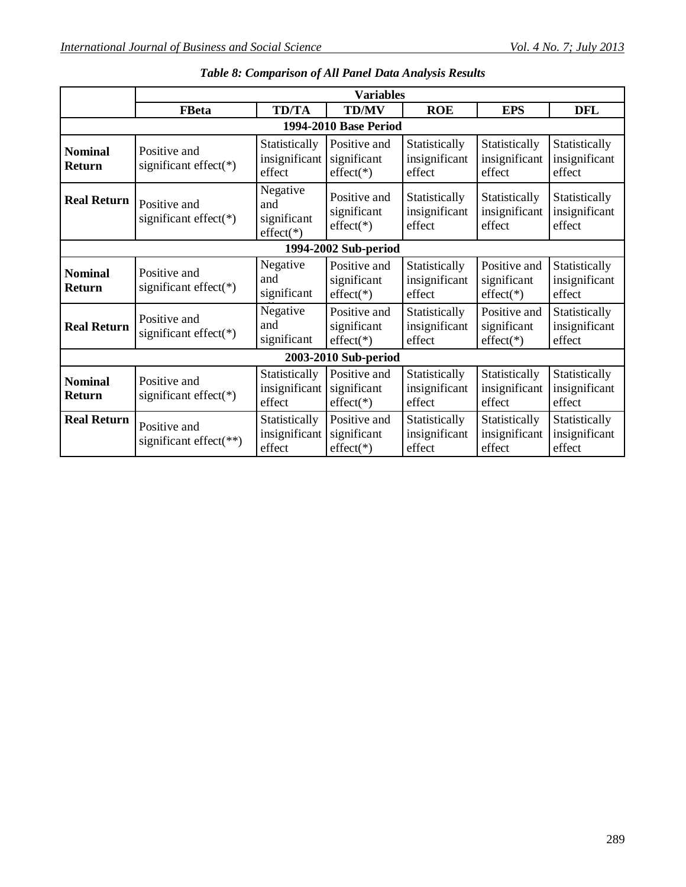|                          |                                            |                                               | <b>Variables</b>                           |                                          |                                            |                                          |  |  |  |  |
|--------------------------|--------------------------------------------|-----------------------------------------------|--------------------------------------------|------------------------------------------|--------------------------------------------|------------------------------------------|--|--|--|--|
|                          | <b>FBeta</b>                               | <b>TD/TA</b>                                  | <b>TD/MV</b>                               | <b>ROE</b>                               | <b>EPS</b>                                 | <b>DFL</b>                               |  |  |  |  |
| 1994-2010 Base Period    |                                            |                                               |                                            |                                          |                                            |                                          |  |  |  |  |
| <b>Nominal</b><br>Return | Positive and<br>significant effect(*)      | Statistically<br>insignificant<br>effect      | Positive and<br>significant<br>$effect(*)$ | Statistically<br>insignificant<br>effect | Statistically<br>insignificant<br>effect   | Statistically<br>insignificant<br>effect |  |  |  |  |
| <b>Real Return</b>       | Positive and<br>significant effect(*)      | Negative<br>and<br>significant<br>$effect(*)$ | Positive and<br>significant<br>$effect(*)$ | Statistically<br>insignificant<br>effect | Statistically<br>insignificant<br>effect   | Statistically<br>insignificant<br>effect |  |  |  |  |
| 1994-2002 Sub-period     |                                            |                                               |                                            |                                          |                                            |                                          |  |  |  |  |
| <b>Nominal</b><br>Return | Positive and<br>significant effect( $*)$   | Negative<br>and<br>significant                | Positive and<br>significant<br>$effect(*)$ | Statistically<br>insignificant<br>effect | Positive and<br>significant<br>$effect(*)$ | Statistically<br>insignificant<br>effect |  |  |  |  |
| <b>Real Return</b>       | Positive and<br>significant effect(*)      | Negative<br>and<br>significant                | Positive and<br>significant<br>$effect(*)$ | Statistically<br>insignificant<br>effect | Positive and<br>significant<br>$effect(*)$ | Statistically<br>insignificant<br>effect |  |  |  |  |
|                          |                                            |                                               | 2003-2010 Sub-period                       |                                          |                                            |                                          |  |  |  |  |
| <b>Nominal</b><br>Return | Positive and<br>significant effect( $*)$   | Statistically<br>insignificant<br>effect      | Positive and<br>significant<br>$effect(*)$ | Statistically<br>insignificant<br>effect | Statistically<br>insignificant<br>effect   | Statistically<br>insignificant<br>effect |  |  |  |  |
| <b>Real Return</b>       | Positive and<br>significant effect( $**$ ) | Statistically<br>insignificant<br>effect      | Positive and<br>significant<br>$effect(*)$ | Statistically<br>insignificant<br>effect | Statistically<br>insignificant<br>effect   | Statistically<br>insignificant<br>effect |  |  |  |  |

|  |  |  | Table 8: Comparison of All Panel Data Analysis Results |  |
|--|--|--|--------------------------------------------------------|--|
|--|--|--|--------------------------------------------------------|--|